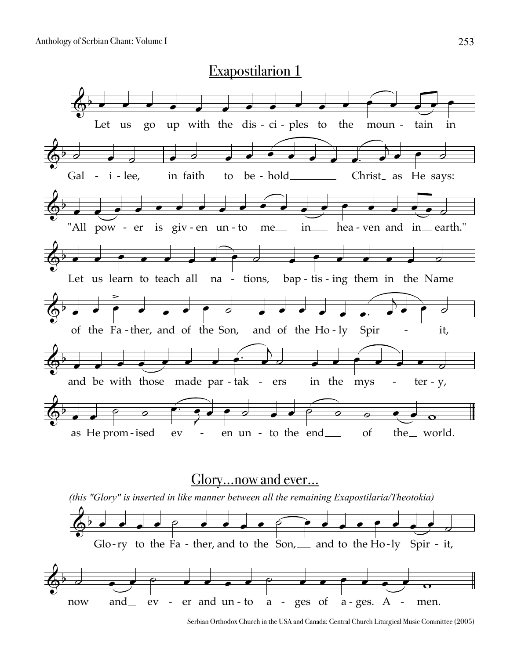

Serbian Orthodox Church in the USA and Canada: Central Church Liturgical Music Committee (2005)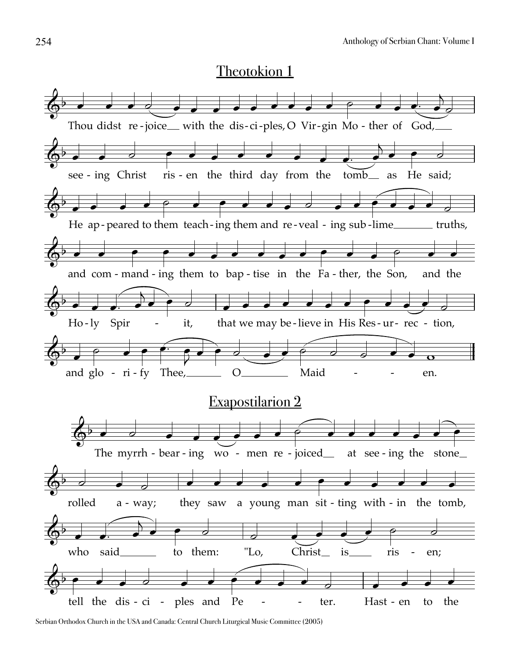

Serbian Orthodox Church in the USA and Canada: Central Church Liturgical Music Committee (2005)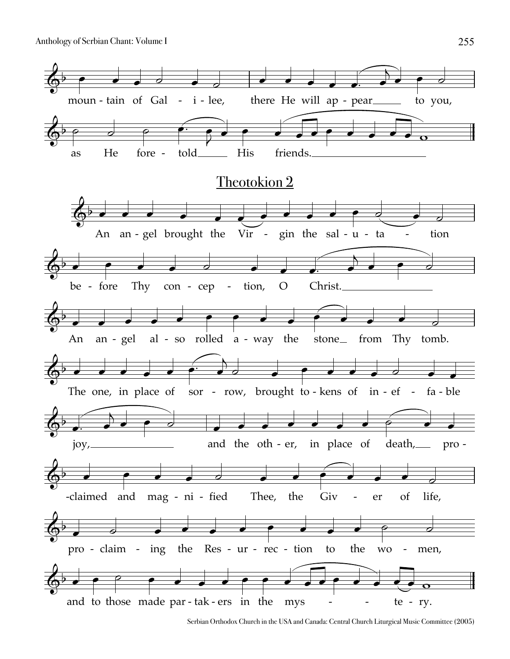

Serbian Orthodox Church in the USA and Canada: Central Church Liturgical Music Committee (2005)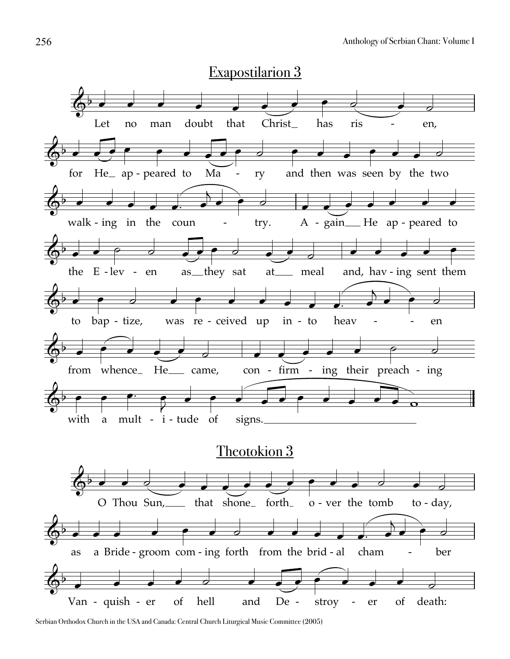

Serbian Orthodox Church in the USA and Canada: Central Church Liturgical Music Committee (2005)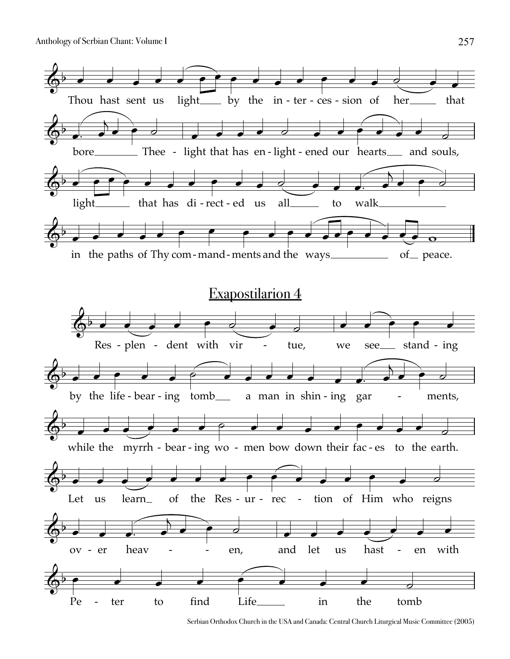

Serbian Orthodox Church in the USA and Canada: Central Church Liturgical Music Committee (2005)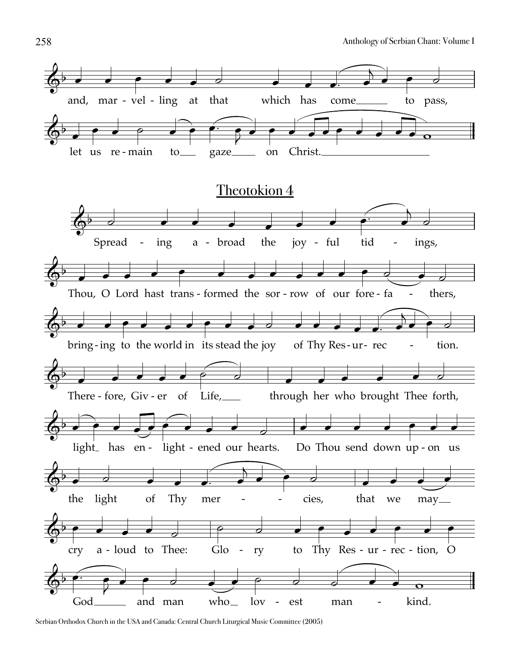

Serbian Orthodox Church in the USA and Canada: Central Church Liturgical Music Committee (2005)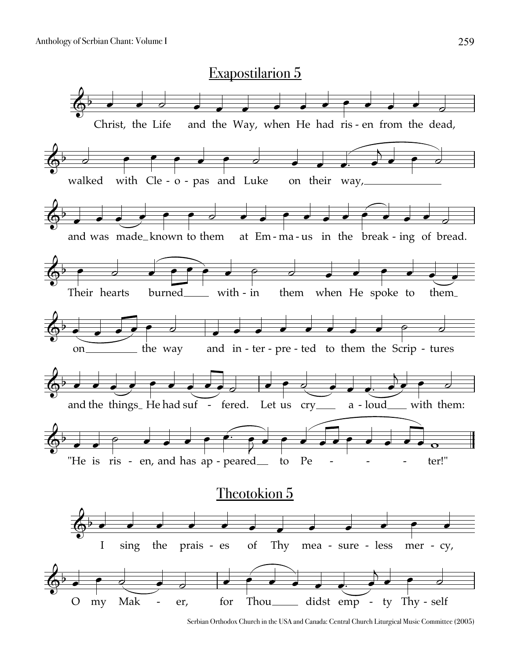

Serbian Orthodox Church in the USA and Canada: Central Church Liturgical Music Committee (2005)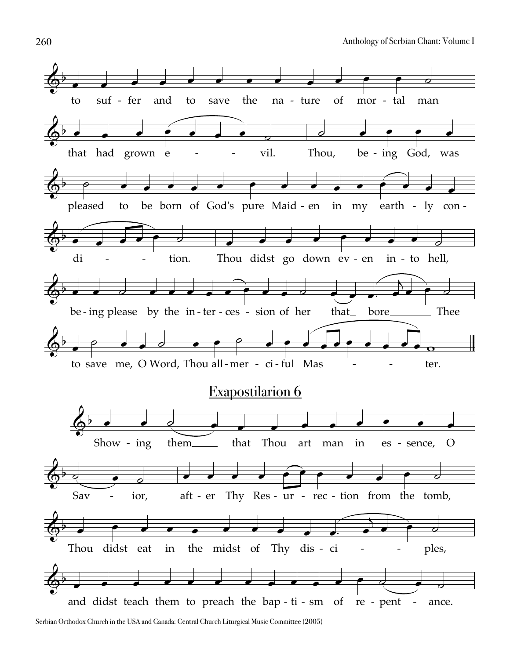![](_page_7_Figure_1.jpeg)

Serbian Orthodox Church in the USA and Canada: Central Church Liturgical Music Committee (2005)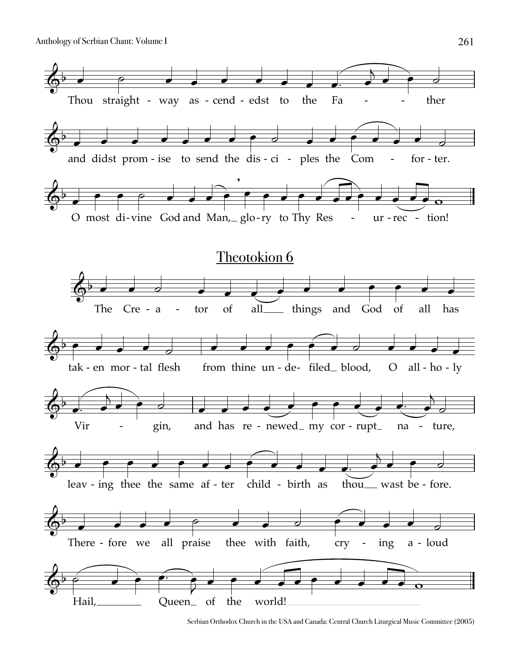![](_page_8_Figure_1.jpeg)

Serbian Orthodox Church in the USA and Canada: Central Church Liturgical Music Committee (2005)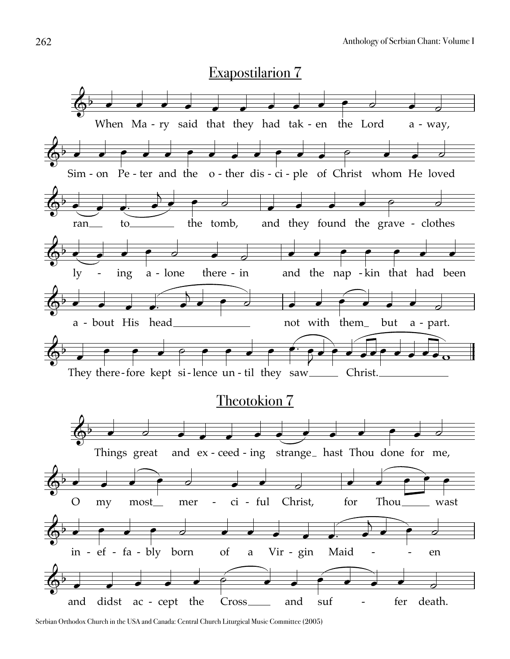![](_page_9_Picture_1.jpeg)

Serbian Orthodox Church in the USA and Canada: Central Church Liturgical Music Committee (2005)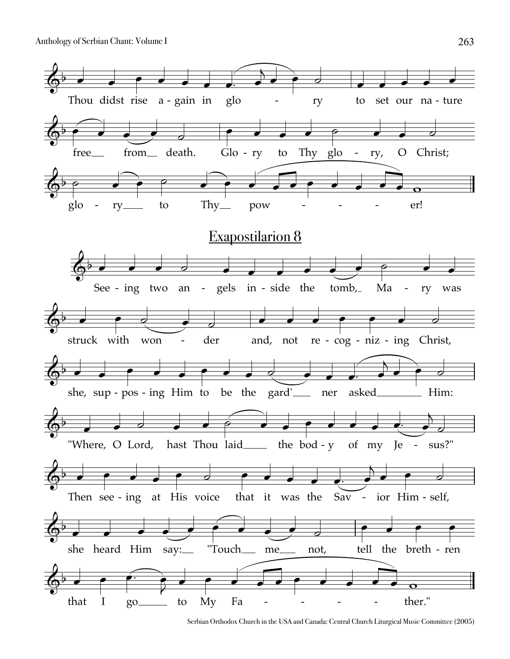![](_page_10_Figure_1.jpeg)

Serbian Orthodox Church in the USA and Canada: Central Church Liturgical Music Committee (2005)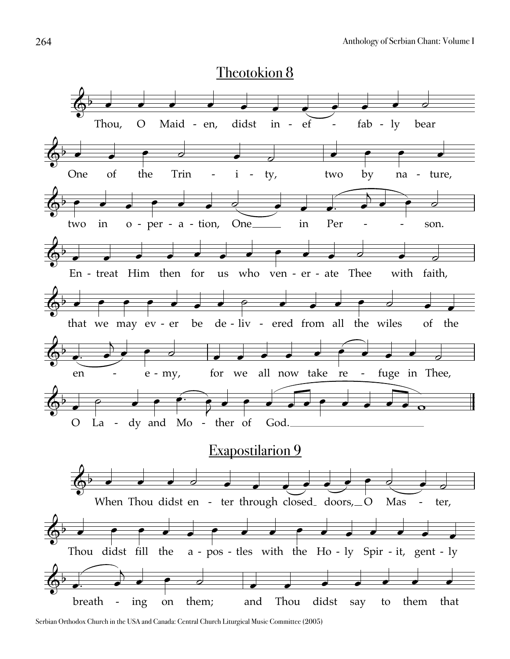![](_page_11_Figure_1.jpeg)

Serbian Orthodox Church in the USA and Canada: Central Church Liturgical Music Committee (2005)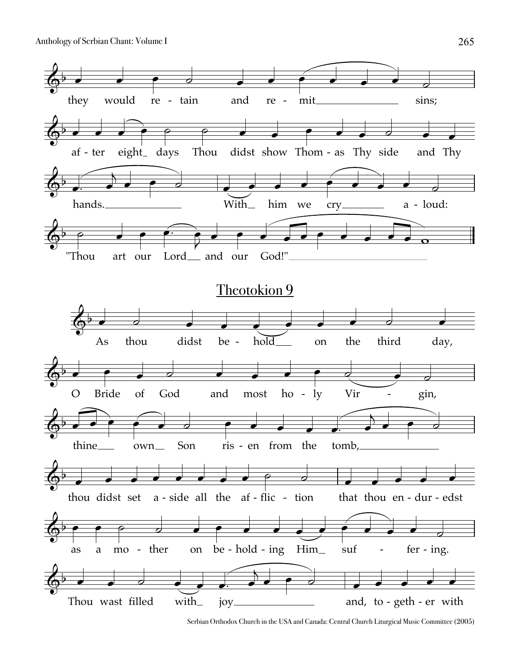![](_page_12_Figure_1.jpeg)

Serbian Orthodox Church in the USA and Canada: Central Church Liturgical Music Committee (2005)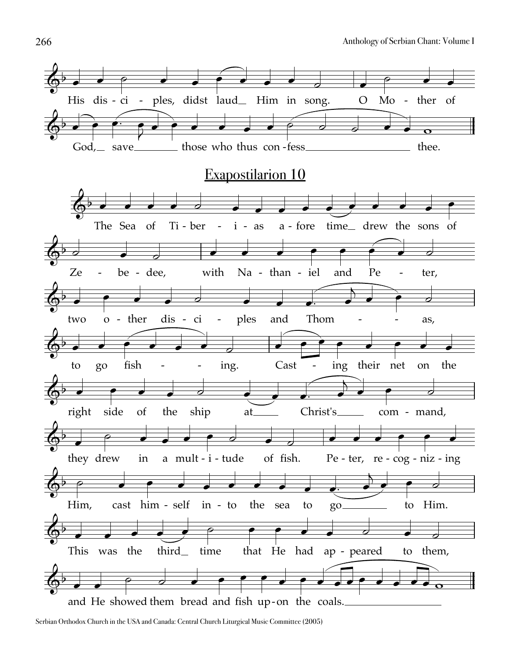![](_page_13_Figure_1.jpeg)

Serbian Orthodox Church in the USA and Canada: Central Church Liturgical Music Committee (2005)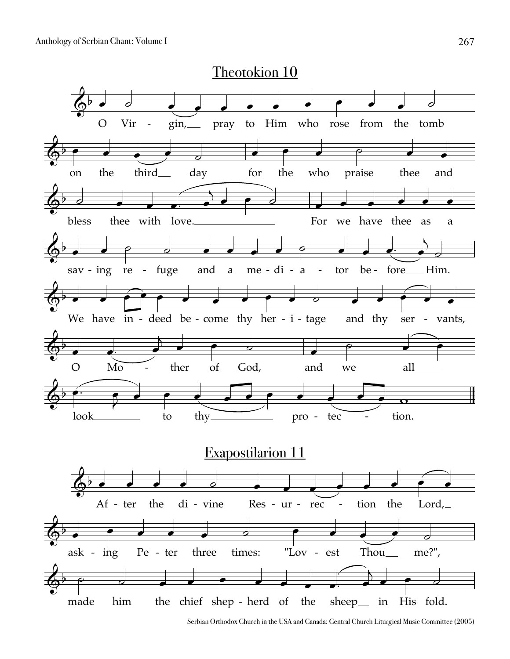![](_page_14_Figure_1.jpeg)

Serbian Orthodox Church in the USA and Canada: Central Church Liturgical Music Committee (2005)